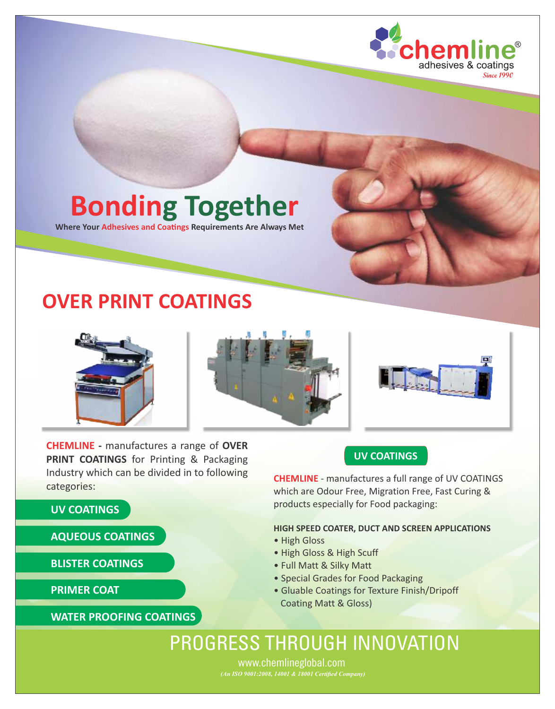

# **Bonding Together**

**Where Your Adhesives and Coatings Requirements Are Always Met** 

## **OVER PRINT COATINGS**



**CHEMLINE -** manufactures a range of **OVER PRINT COATINGS** for Printing & Packaging Industry which can be divided in to following categories:

#### **UV COATINGS**

**AQUEOUS COATINGS**

**BLISTER COATINGS**

**PRIMER COAT**

#### **WATER PROOFING COATINGS**

#### **UV COATINGS**

**CHEMLINE** - manufactures a full range of UV COATINGS which are Odour Free, Migration Free, Fast Curing & products especially for Food packaging:

#### **HIGH SPEED COATER, DUCT AND SCREEN APPLICATIONS**

- High Gloss
- High Gloss & High Scuff
- Full Matt & Silky Matt
- Special Grades for Food Packaging
- Gluable Coatings for Texture Finish/Dripoff Coating Matt & Gloss)

## PROGRESS THROUGH INNOVATION

www.chemlineglobal.com *(An ISO 9001:2008, 14001 & 18001 Certified Company)*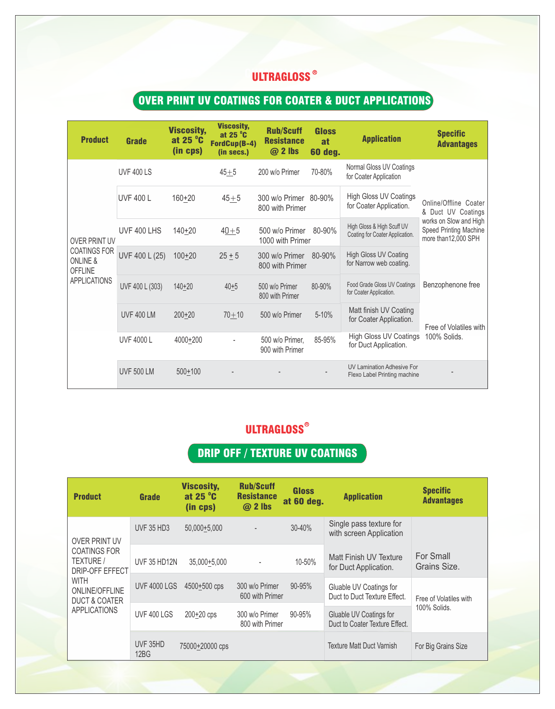### **CHEMIGLOSS**

## OVER PRINT UV COATINGS FOR COATER & DUCT APPLICATIONS

| <b>Product</b>                                               | Grade             | <b>Viscosity,</b><br>at 25 °C<br>(in cps) | <b>Viscosity,</b><br>at 25 $\degree$ C<br>FordCup(B-4)<br>(in secs.) | <b>Rub/Scuff</b><br><b>Resistance</b><br>$@2$ lbs | Gloss<br>at<br><b>60 deg.</b> | <b>Application</b>                                                | <b>Specific</b><br><b>Advantages</b>                                     |  |
|--------------------------------------------------------------|-------------------|-------------------------------------------|----------------------------------------------------------------------|---------------------------------------------------|-------------------------------|-------------------------------------------------------------------|--------------------------------------------------------------------------|--|
|                                                              | <b>UVF 400 LS</b> |                                           | $45 + 5$                                                             | 200 w/o Primer                                    | 70-80%                        | Normal Gloss UV Coatings<br>for Coater Application                |                                                                          |  |
|                                                              | <b>UVF 400 L</b>  | $160 + 20$                                | $45 + 5$                                                             | 300 w/o Primer 80-90%<br>800 with Primer          |                               | <b>High Gloss UV Coatings</b><br>for Coater Application.          | Online/Offline Coater<br>& Duct UV Coatings                              |  |
| <b>OVER PRINT UV</b>                                         | UVF 400 LHS       | $140 + 20$                                | $40 + 5$                                                             | 500 w/o Primer<br>1000 with Primer                | 80-90%                        | High Gloss & High Scuff UV<br>Coating for Coater Application.     | works on Slow and High<br>Speed Printing Machine<br>more than 12,000 SPH |  |
| <b>COATINGS FOR</b><br><b>ONLINE &amp;</b><br><b>OFFLINE</b> | UVF 400 L (25)    | $100 + 20$                                | $25 + 5$                                                             | 300 w/o Primer<br>800 with Primer                 | 80-90%                        | <b>High Gloss UV Coating</b><br>for Narrow web coating.           |                                                                          |  |
| <b>APPLICATIONS</b>                                          | UVF 400 L (303)   | $140 + 20$                                | $40 + 5$                                                             | 500 w/o Primer<br>800 with Primer                 | 80-90%                        | Food Grade Gloss UV Coatings<br>for Coater Application.           | Benzophenone free                                                        |  |
|                                                              | <b>UVF 400 LM</b> | $200+20$                                  | $70 + 10$                                                            | 500 w/o Primer                                    | 5-10%                         | Matt finish UV Coating<br>for Coater Application.                 | Free of Volatiles with                                                   |  |
|                                                              | <b>UVF 4000 L</b> | 4000+200                                  |                                                                      | 500 w/o Primer,<br>900 with Primer                | 85-95%                        | <b>High Gloss UV Coatings</b><br>for Duct Application.            | 100% Solids.                                                             |  |
|                                                              | <b>UVF 500 LM</b> | $500+100$                                 |                                                                      |                                                   |                               | <b>UV Lamination Adhesive For</b><br>Flexo Label Printing machine |                                                                          |  |

## **ULTRAGLOSS®**

## DRIP OFF / TEXTURE UV COATINGS

| <b>Product</b>                                                                                                                                        | Grade               | <b>Viscosity,</b><br>at 25 $\degree$ C<br>(in cps) | <b>Rub/Scuff</b><br><b>Resistance</b><br>@ 2 lbs | <b>Gloss</b><br>at 60 deg. | <b>Application</b>                                        | <b>Specific</b><br><b>Advantages</b> |
|-------------------------------------------------------------------------------------------------------------------------------------------------------|---------------------|----------------------------------------------------|--------------------------------------------------|----------------------------|-----------------------------------------------------------|--------------------------------------|
| <b>OVER PRINT UV</b>                                                                                                                                  | <b>UVF 35 HD3</b>   | 50,000+5,000                                       |                                                  | 30-40%                     | Single pass texture for<br>with screen Application        |                                      |
| <b>COATINGS FOR</b><br>TEXTURE /<br><b>DRIP-OFF EFFECT</b><br><b>WITH</b><br><b>ONLINE/OFFLINE</b><br><b>DUCT &amp; COATER</b><br><b>APPLICATIONS</b> | <b>UVF 35 HD12N</b> | 35,000+5,000                                       | $\overline{a}$                                   | 10-50%                     | Matt Finish UV Texture<br>for Duct Application.           | For Small<br>Grains Size.            |
|                                                                                                                                                       | <b>UVF 4000 LGS</b> | 4500+500 cps                                       | 300 w/o Primer<br>600 with Primer                | $90 - 95%$                 | Gluable UV Coatings for<br>Duct to Duct Texture Effect.   | Free of Volatiles with               |
|                                                                                                                                                       | UVF 400 LGS         | 200+20 cps                                         | 300 w/o Primer<br>800 with Primer                | $90 - 95%$                 | Gluable UV Coatings for<br>Duct to Coater Texture Effect. | 100% Solids.                         |
|                                                                                                                                                       | UVF 35HD<br>12BG    | 75000+20000 cps                                    |                                                  |                            | <b>Texture Matt Duct Varnish</b>                          | For Big Grains Size                  |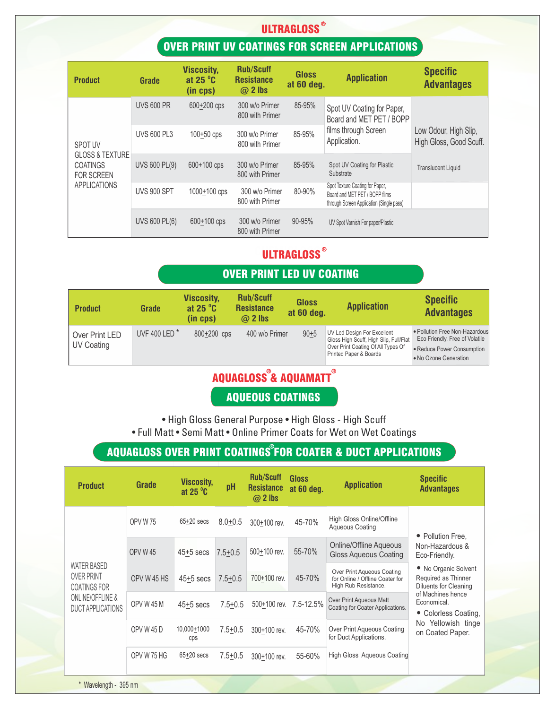## **ULTRAGLOSS<sup>®</sup>**

### OVER PRINT UV COATINGS FOR SCREEN APPLICATIONS

| <b>Product</b>                                                                                       | Grade                | <b>Viscosity,</b><br>at 25 $\degree$ C<br>(in cps) | <b>Rub/Scuff</b><br><b>Resistance</b><br>$@$ 2 lbs | <b>Gloss</b><br>at 60 deg. | <b>Application</b>                                                                                            | <b>Specific</b><br><b>Advantages</b>             |
|------------------------------------------------------------------------------------------------------|----------------------|----------------------------------------------------|----------------------------------------------------|----------------------------|---------------------------------------------------------------------------------------------------------------|--------------------------------------------------|
|                                                                                                      | <b>UVS 600 PR</b>    | 600+200 cps                                        | 300 w/o Primer<br>800 with Primer                  | 85-95%                     | Spot UV Coating for Paper,<br>Board and MET PET / BOPP                                                        |                                                  |
| <b>SPOT UV</b><br><b>GLOSS &amp; TEXTURE</b><br><b>COATINGS</b><br><b>FOR SCREEN</b><br>APPLICATIONS | <b>UVS 600 PL3</b>   | $100 + 50$ cps                                     | 300 w/o Primer<br>800 with Primer                  | 85-95%                     | films through Screen<br>Application.                                                                          | Low Odour, High Slip,<br>High Gloss, Good Scuff. |
|                                                                                                      | <b>UVS 600 PL(9)</b> | 600+100 cps                                        | 300 w/o Primer<br>800 with Primer                  | 85-95%                     | Spot UV Coating for Plastic<br>Substrate                                                                      | <b>Translucent Liquid</b>                        |
|                                                                                                      | <b>UVS 900 SPT</b>   | 1000+100 cps                                       | 300 w/o Primer<br>800 with Primer                  | 80-90%                     | Spot Texture Coating for Paper,<br>Board and MET PET / BOPP films<br>through Screen Application (Single pass) |                                                  |
|                                                                                                      | <b>UVS 600 PL(6)</b> | 600+100 cps                                        | 300 w/o Primer<br>800 with Primer                  | $90 - 95%$                 | UV Spot Varnish For paper/Plastic                                                                             |                                                  |

## **ULTRAGLOSS**<sup>®</sup>

#### OVER PRINT LED UV COATING

| <b>Product</b>               | Grade                    | <b>Viscosity,</b><br>at 25 $\mathrm{^{\circ}C}$<br>(in cps) | <b>Rub/Scuff</b><br><b>Resistance</b><br>$\omega$ 2 lbs | <b>Gloss</b><br>at 60 deg. | <b>Application</b>                                                                                                                    | <b>Specific</b><br><b>Advantages</b>                                                                                    |
|------------------------------|--------------------------|-------------------------------------------------------------|---------------------------------------------------------|----------------------------|---------------------------------------------------------------------------------------------------------------------------------------|-------------------------------------------------------------------------------------------------------------------------|
| Over Print LED<br>UV Coating | UVF 400 LED <sup>*</sup> | 800+200 cps                                                 | 400 w/o Primer                                          | $90 + 5$                   | UV Led Design For Excellent<br>Gloss High Scuff, High Slip, Full/Flat<br>Over Print Coating Of All Types Of<br>Printed Paper & Boards | . Pollution Free Non-Hazardous<br>Eco Friendly, Free of Volatile<br>• Reduce Power Consumption<br>• No Ozone Generation |

## AQUAGLOSS & AQUAMATT **R R**

#### AQUEOUS COATINGS

• High Gloss General Purpose • High Gloss - High Scuff • Full Matt • Semi Matt • Online Primer Coats for Wet on Wet Coatings

## **AQUAGLOSS OVER PRINT COATINGS®FOR COATER & DUCT APPLICATIONS**

| <b>Product</b>                                                                                                            | Grade             | <b>Viscosity,</b><br>at $25^{\circ}$ C | pH          | <b>Rub/Scuff</b><br><b>Resistance</b><br>$@$ 2 lbs | Gloss<br>at 60 deg. | <b>Application</b>                                                                    | <b>Specific</b><br><b>Advantages</b>                                                                          |  |
|---------------------------------------------------------------------------------------------------------------------------|-------------------|----------------------------------------|-------------|----------------------------------------------------|---------------------|---------------------------------------------------------------------------------------|---------------------------------------------------------------------------------------------------------------|--|
|                                                                                                                           | <b>OPV W 75</b>   | $65+20$ secs                           | $8.0 + 0.5$ | 300+100 rev.                                       | 45-70%              | High Gloss Online/Offline<br>Aqueous Coating                                          |                                                                                                               |  |
|                                                                                                                           | <b>OPV W 45</b>   | $45+5$ secs                            | $7.5 + 0.5$ | 500+100 rev.                                       | 55-70%              | <b>Online/Offline Aqueous</b><br>Gloss Aqueous Coating                                | • Pollution Free,<br>Non-Hazardous &<br>Eco-Friendly.                                                         |  |
| <b>WATER BASED</b><br><b>OVER PRINT</b><br><b>COATINGS FOR</b><br><b>ONLINE/OFFLINE &amp;</b><br><b>DUCT APPLICATIONS</b> | OPV W 45 HS       | $45+5$ secs                            | $7.5 + 0.5$ | 700+100 rev.                                       | 45-70%              | Over Print Aqueous Coating<br>for Online / Offline Coater for<br>High Rub Resistance. | • No Organic Solvent<br>Required as Thinner<br>Diluents for Cleaning                                          |  |
|                                                                                                                           | OPV W 45 M        | $45+5$ secs                            | $7.5 + 0.5$ | 500+100 rev.                                       | 7.5-12.5%           | Over Print Aqueous Matt<br>Coating for Coater Applications.                           | of Machines hence<br>Economical.<br>Colorless Coating,<br>$\bullet$<br>No Yellowish tinge<br>on Coated Paper. |  |
|                                                                                                                           | <b>OPV W 45 D</b> | 10,000+1000<br>cps                     | $7.5 + 0.5$ | 300+100 rev.                                       | 45-70%              | Over Print Aqueous Coating<br>for Duct Applications.                                  |                                                                                                               |  |
|                                                                                                                           | OPV W 75 HG       | $65+20$ secs                           | $7.5 + 0.5$ | 300+100 rev.                                       | 55-60%              | <b>High Gloss Aqueous Coating</b>                                                     |                                                                                                               |  |

\* Wavelength - 395 nm